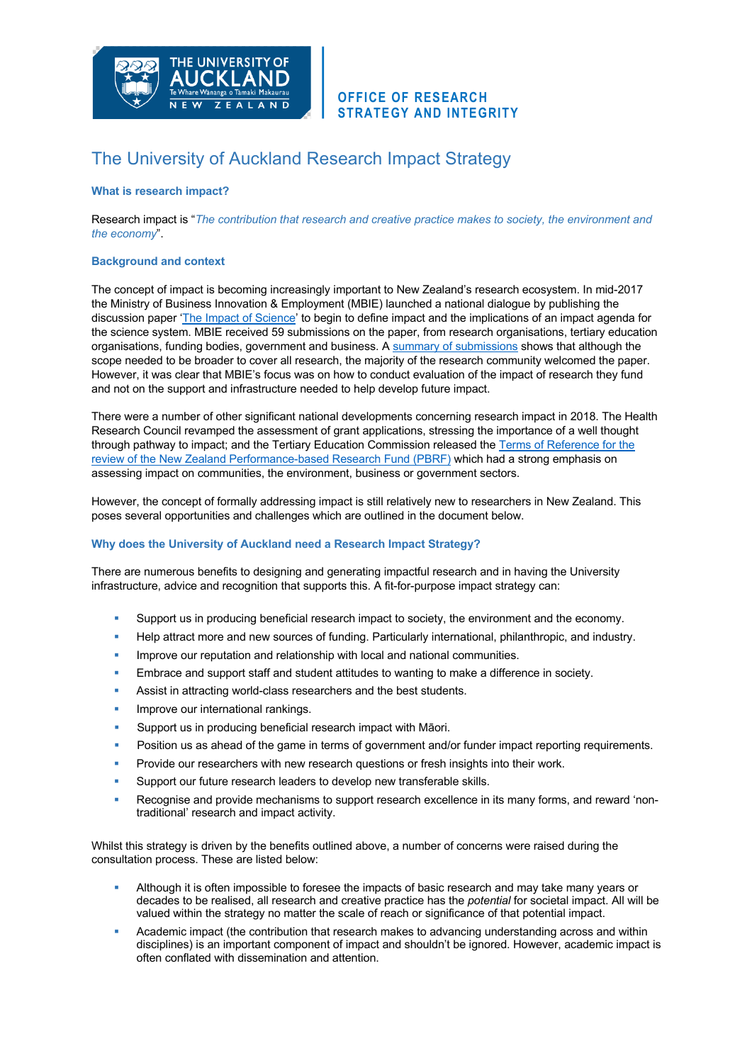

# **OFFICE OF RESEARCH STRATEGY AND INTEGRITY**

# The University of Auckland Research Impact Strategy

# **What is research impact?**

Research impact is "*The contribution that research and creative practice makes to society, the environment and the economy*".

## **Background and context**

The concept of impact is becoming increasingly important to New Zealand's research ecosystem. In mid-2017 the Ministry of Business Innovation & Employment (MBIE) launched a national dialogue by publishing the discussion paper 'The Impact of Science' to begin to define impact and the implications of an impact agenda for the science system. MBIE received 59 submissions on the paper, from research organisations, tertiary education organisations, funding bodies, government and business. A summary of submissions shows that although the scope needed to be broader to cover all research, the majority of the research community welcomed the paper. However, it was clear that MBIE's focus was on how to conduct evaluation of the impact of research they fund and not on the support and infrastructure needed to help develop future impact.

There were a number of other significant national developments concerning research impact in 2018. The Health Research Council revamped the assessment of grant applications, stressing the importance of a well thought through pathway to impact; and the Tertiary Education Commission released the Terms of Reference for the review of the New Zealand Performance-based Research Fund (PBRF) which had a strong emphasis on assessing impact on communities, the environment, business or government sectors.

However, the concept of formally addressing impact is still relatively new to researchers in New Zealand. This poses several opportunities and challenges which are outlined in the document below.

#### **Why does the University of Auckland need a Research Impact Strategy?**

There are numerous benefits to designing and generating impactful research and in having the University infrastructure, advice and recognition that supports this. A fit-for-purpose impact strategy can:

- § Support us in producing beneficial research impact to society, the environment and the economy.
- Help attract more and new sources of funding. Particularly international, philanthropic, and industry.
- **■** Improve our reputation and relationship with local and national communities.
- Embrace and support staff and student attitudes to wanting to make a difference in society.
- Assist in attracting world-class researchers and the best students.
- Improve our international rankings.
- § Support us in producing beneficial research impact with Māori.
- **Position us as ahead of the game in terms of government and/or funder impact reporting requirements.**
- Provide our researchers with new research questions or fresh insights into their work.
- § Support our future research leaders to develop new transferable skills.
- Recognise and provide mechanisms to support research excellence in its many forms, and reward 'nontraditional' research and impact activity.

Whilst this strategy is driven by the benefits outlined above, a number of concerns were raised during the consultation process. These are listed below:

- § Although it is often impossible to foresee the impacts of basic research and may take many years or decades to be realised, all research and creative practice has the *potential* for societal impact. All will be valued within the strategy no matter the scale of reach or significance of that potential impact.
- § Academic impact (the contribution that research makes to advancing understanding across and within disciplines) is an important component of impact and shouldn't be ignored. However, academic impact is often conflated with dissemination and attention.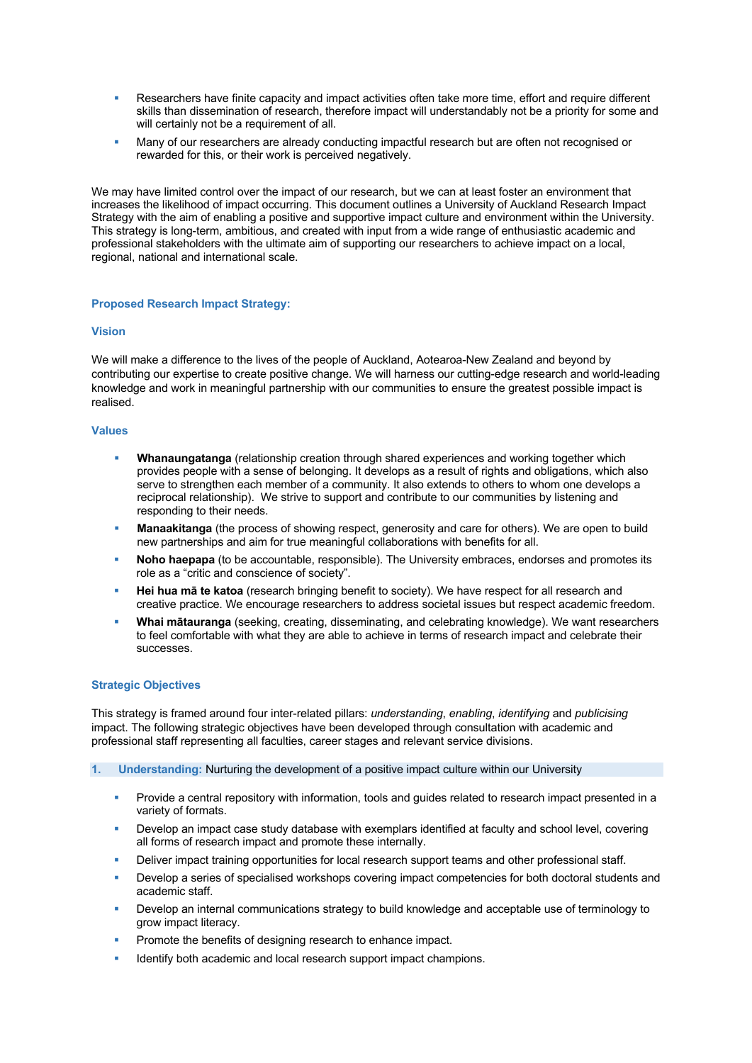- Researchers have finite capacity and impact activities often take more time, effort and require different skills than dissemination of research, therefore impact will understandably not be a priority for some and will certainly not be a requirement of all.
- Many of our researchers are already conducting impactful research but are often not recognised or rewarded for this, or their work is perceived negatively.

We may have limited control over the impact of our research, but we can at least foster an environment that increases the likelihood of impact occurring. This document outlines a University of Auckland Research Impact Strategy with the aim of enabling a positive and supportive impact culture and environment within the University. This strategy is long-term, ambitious, and created with input from a wide range of enthusiastic academic and professional stakeholders with the ultimate aim of supporting our researchers to achieve impact on a local, regional, national and international scale.

#### **Proposed Research Impact Strategy:**

#### **Vision**

We will make a difference to the lives of the people of Auckland, Aotearoa-New Zealand and beyond by contributing our expertise to create positive change. We will harness our cutting-edge research and world-leading knowledge and work in meaningful partnership with our communities to ensure the greatest possible impact is realised.

# **Values**

- **Whanaungatanga** (relationship creation through shared experiences and working together which provides people with a sense of belonging. It develops as a result of rights and obligations, which also serve to strengthen each member of a community. It also extends to others to whom one develops a reciprocal relationship). We strive to support and contribute to our communities by listening and responding to their needs.
- § **Manaakitanga** (the process of showing respect, generosity and care for others). We are open to build new partnerships and aim for true meaningful collaborations with benefits for all.
- **Noho haepapa** (to be accountable, responsible). The University embraces, endorses and promotes its role as a "critic and conscience of society".
- **Hei hua mā te katoa** (research bringing benefit to society). We have respect for all research and creative practice. We encourage researchers to address societal issues but respect academic freedom.
- § **Whai mātauranga** (seeking, creating, disseminating, and celebrating knowledge). We want researchers to feel comfortable with what they are able to achieve in terms of research impact and celebrate their successes.

# **Strategic Objectives**

This strategy is framed around four inter-related pillars: *understanding*, *enabling*, *identifying* and *publicising* impact. The following strategic objectives have been developed through consultation with academic and professional staff representing all faculties, career stages and relevant service divisions.

- **1. Understanding:** Nurturing the development of a positive impact culture within our University
	- Provide a central repository with information, tools and guides related to research impact presented in a variety of formats.
	- Develop an impact case study database with exemplars identified at faculty and school level, covering all forms of research impact and promote these internally.
	- **•** Deliver impact training opportunities for local research support teams and other professional staff.
	- Develop a series of specialised workshops covering impact competencies for both doctoral students and academic staff.
	- Develop an internal communications strategy to build knowledge and acceptable use of terminology to grow impact literacy.
	- Promote the benefits of designing research to enhance impact.
	- Identify both academic and local research support impact champions.